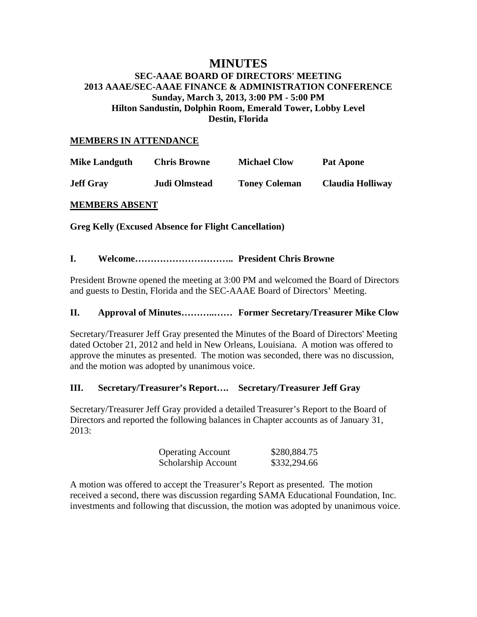# **MINUTES SEC-AAAE BOARD OF DIRECTORS' MEETING 2013 AAAE/SEC-AAAE FINANCE & ADMINISTRATION CONFERENCE Sunday, March 3, 2013, 3:00 PM - 5:00 PM Hilton Sandustin, Dolphin Room, Emerald Tower, Lobby Level Destin, Florida**

# **MEMBERS IN ATTENDANCE**

| <b>Mike Landguth</b> | <b>Chris Browne</b>  | <b>Michael Clow</b>  | <b>Pat Apone</b> |
|----------------------|----------------------|----------------------|------------------|
| <b>Jeff Gray</b>     | <b>Judi Olmstead</b> | <b>Toney Coleman</b> | Claudia Holliway |

# **MEMBERS ABSENT**

#### **Greg Kelly (Excused Absence for Flight Cancellation)**

# **I. Welcome………………………….. President Chris Browne**

President Browne opened the meeting at 3:00 PM and welcomed the Board of Directors and guests to Destin, Florida and the SEC-AAAE Board of Directors' Meeting.

#### **II. Approval of Minutes………..…… Former Secretary/Treasurer Mike Clow**

Secretary/Treasurer Jeff Gray presented the Minutes of the Board of Directors' Meeting dated October 21, 2012 and held in New Orleans, Louisiana. A motion was offered to approve the minutes as presented. The motion was seconded, there was no discussion, and the motion was adopted by unanimous voice.

# **III. Secretary/Treasurer's Report…. Secretary/Treasurer Jeff Gray**

Secretary/Treasurer Jeff Gray provided a detailed Treasurer's Report to the Board of Directors and reported the following balances in Chapter accounts as of January 31,  $2013:$ 

| <b>Operating Account</b> | \$280,884.75 |
|--------------------------|--------------|
| Scholarship Account      | \$332,294.66 |

A motion was offered to accept the Treasurer's Report as presented. The motion received a second, there was discussion regarding SAMA Educational Foundation, Inc. investments and following that discussion, the motion was adopted by unanimous voice.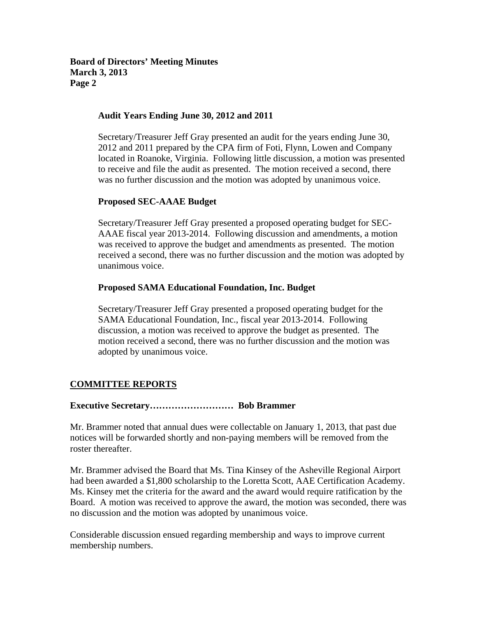**Board of Directors' Meeting Minutes March 3, 2013 Page 2** 

# **Audit Years Ending June 30, 2012 and 2011**

Secretary/Treasurer Jeff Gray presented an audit for the years ending June 30, 2012 and 2011 prepared by the CPA firm of Foti, Flynn, Lowen and Company located in Roanoke, Virginia. Following little discussion, a motion was presented to receive and file the audit as presented. The motion received a second, there was no further discussion and the motion was adopted by unanimous voice.

# **Proposed SEC-AAAE Budget**

Secretary/Treasurer Jeff Gray presented a proposed operating budget for SEC-AAAE fiscal year 2013-2014. Following discussion and amendments, a motion was received to approve the budget and amendments as presented. The motion received a second, there was no further discussion and the motion was adopted by unanimous voice.

#### **Proposed SAMA Educational Foundation, Inc. Budget**

Secretary/Treasurer Jeff Gray presented a proposed operating budget for the SAMA Educational Foundation, Inc., fiscal year 2013-2014. Following discussion, a motion was received to approve the budget as presented. The motion received a second, there was no further discussion and the motion was adopted by unanimous voice.

# **COMMITTEE REPORTS**

#### **Executive Secretary……………………… Bob Brammer**

Mr. Brammer noted that annual dues were collectable on January 1, 2013, that past due notices will be forwarded shortly and non-paying members will be removed from the roster thereafter.

Mr. Brammer advised the Board that Ms. Tina Kinsey of the Asheville Regional Airport had been awarded a \$1,800 scholarship to the Loretta Scott, AAE Certification Academy. Ms. Kinsey met the criteria for the award and the award would require ratification by the Board. A motion was received to approve the award, the motion was seconded, there was no discussion and the motion was adopted by unanimous voice.

Considerable discussion ensued regarding membership and ways to improve current membership numbers.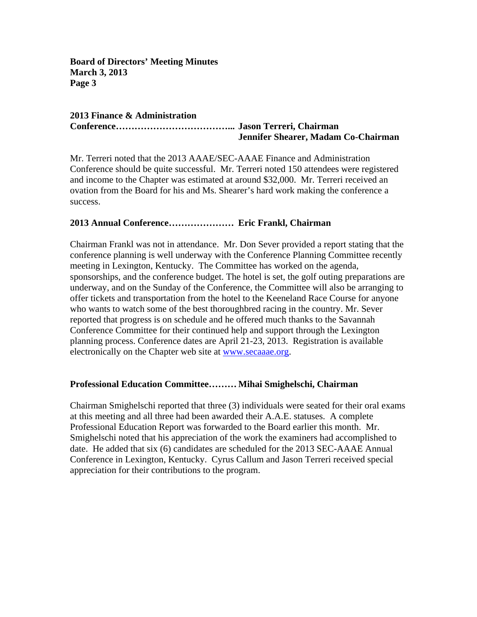**Board of Directors' Meeting Minutes March 3, 2013 Page 3** 

# **2013 Finance & Administration Conference………………………………... Jason Terreri, Chairman**

# **Jennifer Shearer, Madam Co-Chairman**

Mr. Terreri noted that the 2013 AAAE/SEC-AAAE Finance and Administration Conference should be quite successful. Mr. Terreri noted 150 attendees were registered and income to the Chapter was estimated at around \$32,000. Mr. Terreri received an ovation from the Board for his and Ms. Shearer's hard work making the conference a success.

# **2013 Annual Conference………………… Eric Frankl, Chairman**

Chairman Frankl was not in attendance. Mr. Don Sever provided a report stating that the conference planning is well underway with the Conference Planning Committee recently meeting in Lexington, Kentucky. The Committee has worked on the agenda, sponsorships, and the conference budget. The hotel is set, the golf outing preparations are underway, and on the Sunday of the Conference, the Committee will also be arranging to offer tickets and transportation from the hotel to the Keeneland Race Course for anyone who wants to watch some of the best thoroughbred racing in the country. Mr. Sever reported that progress is on schedule and he offered much thanks to the Savannah Conference Committee for their continued help and support through the Lexington planning process. Conference dates are April 21-23, 2013. Registration is available electronically on the Chapter web site at www.secaaae.org.

# **Professional Education Committee……… Mihai Smighelschi, Chairman**

Chairman Smighelschi reported that three (3) individuals were seated for their oral exams at this meeting and all three had been awarded their A.A.E. statuses. A complete Professional Education Report was forwarded to the Board earlier this month. Mr. Smighelschi noted that his appreciation of the work the examiners had accomplished to date. He added that six (6) candidates are scheduled for the 2013 SEC-AAAE Annual Conference in Lexington, Kentucky. Cyrus Callum and Jason Terreri received special appreciation for their contributions to the program.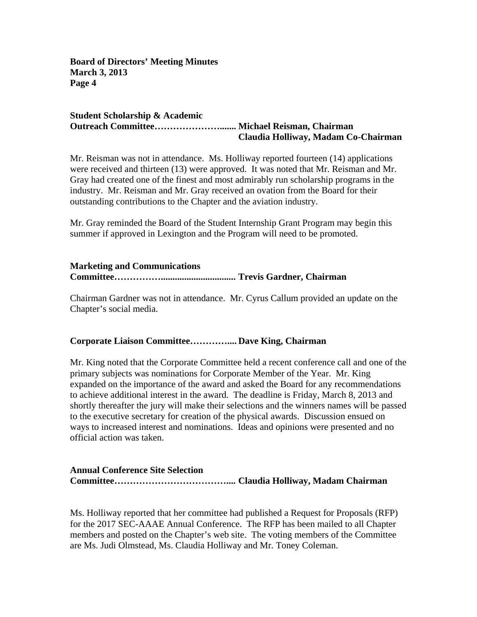**Board of Directors' Meeting Minutes March 3, 2013 Page 4** 

#### **Student Scholarship & Academic Outreach Committee…………………....... Michael Reisman, Chairman Claudia Holliway, Madam Co-Chairman**

Mr. Reisman was not in attendance. Ms. Holliway reported fourteen (14) applications were received and thirteen (13) were approved. It was noted that Mr. Reisman and Mr. Gray had created one of the finest and most admirably run scholarship programs in the industry. Mr. Reisman and Mr. Gray received an ovation from the Board for their outstanding contributions to the Chapter and the aviation industry.

Mr. Gray reminded the Board of the Student Internship Grant Program may begin this summer if approved in Lexington and the Program will need to be promoted.

# **Marketing and Communications Committee……………................................ Trevis Gardner, Chairman**

Chairman Gardner was not in attendance. Mr. Cyrus Callum provided an update on the Chapter's social media.

# **Corporate Liaison Committee………….... Dave King, Chairman**

Mr. King noted that the Corporate Committee held a recent conference call and one of the primary subjects was nominations for Corporate Member of the Year. Mr. King expanded on the importance of the award and asked the Board for any recommendations to achieve additional interest in the award. The deadline is Friday, March 8, 2013 and shortly thereafter the jury will make their selections and the winners names will be passed to the executive secretary for creation of the physical awards. Discussion ensued on ways to increased interest and nominations. Ideas and opinions were presented and no official action was taken.

# **Annual Conference Site Selection Committee……………………………….... Claudia Holliway, Madam Chairman**

Ms. Holliway reported that her committee had published a Request for Proposals (RFP) for the 2017 SEC-AAAE Annual Conference. The RFP has been mailed to all Chapter members and posted on the Chapter's web site. The voting members of the Committee are Ms. Judi Olmstead, Ms. Claudia Holliway and Mr. Toney Coleman.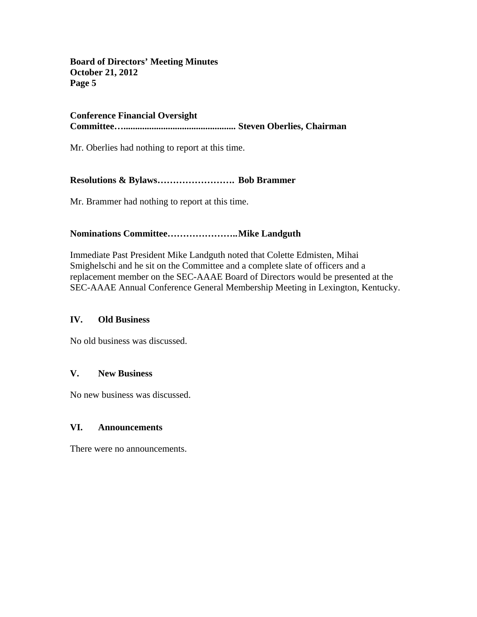**Board of Directors' Meeting Minutes October 21, 2012 Page 5** 

# **Conference Financial Oversight Committee…................................................ Steven Oberlies, Chairman**

Mr. Oberlies had nothing to report at this time.

# **Resolutions & Bylaws……………………. Bob Brammer**

Mr. Brammer had nothing to report at this time.

# **Nominations Committee………………….. Mike Landguth**

Immediate Past President Mike Landguth noted that Colette Edmisten, Mihai Smighelschi and he sit on the Committee and a complete slate of officers and a replacement member on the SEC-AAAE Board of Directors would be presented at the SEC-AAAE Annual Conference General Membership Meeting in Lexington, Kentucky.

# **IV. Old Business**

No old business was discussed.

# **V. New Business**

No new business was discussed.

# **VI. Announcements**

There were no announcements.